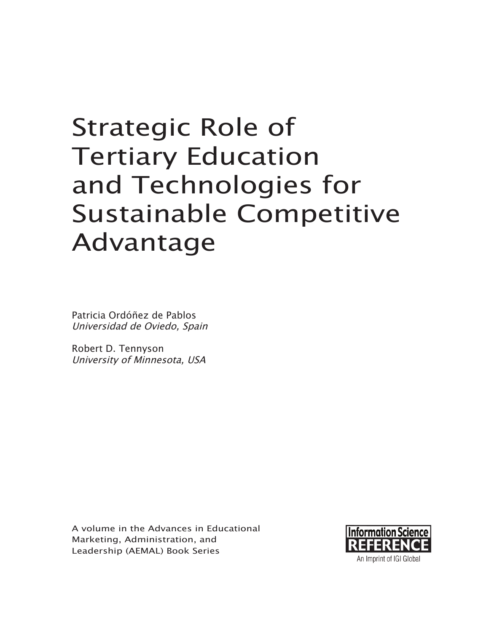# Strategic Role of Tertiary Education and Technologies for Sustainable Competitive Advantage

Patricia Ordóñez de Pablos Universidad de Oviedo, Spain

Robert D. Tennyson University of Minnesota, USA

A volume in the Advances in Educational Marketing, Administration, and Leadership (AEMAL) Book Series

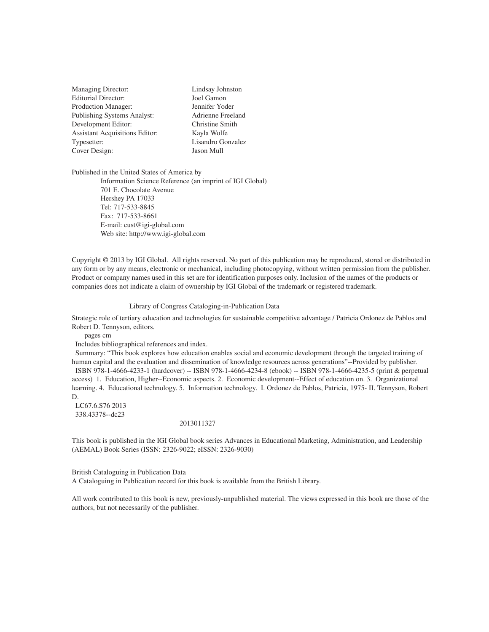| Managing Director:                    |  |
|---------------------------------------|--|
| <b>Editorial Director:</b>            |  |
| Production Manager:                   |  |
| <b>Publishing Systems Analyst:</b>    |  |
| Development Editor:                   |  |
| <b>Assistant Acquisitions Editor:</b> |  |
| Typesetter:                           |  |
| Cover Design:                         |  |

Lindsay Johnston Joel Gamon Jennifer Yoder Adrienne Freeland Christine Smith Kayla Wolfe Lisandro Gonzalez Jason Mull

Published in the United States of America by

Information Science Reference (an imprint of IGI Global) 701 E. Chocolate Avenue Hershey PA 17033 Tel: 717-533-8845 Fax: 717-533-8661 E-mail: cust@igi-global.com Web site: http://www.igi-global.com

Copyright © 2013 by IGI Global. All rights reserved. No part of this publication may be reproduced, stored or distributed in any form or by any means, electronic or mechanical, including photocopying, without written permission from the publisher. Product or company names used in this set are for identification purposes only. Inclusion of the names of the products or companies does not indicate a claim of ownership by IGI Global of the trademark or registered trademark.

#### Library of Congress Cataloging-in-Publication Data

Strategic role of tertiary education and technologies for sustainable competitive advantage / Patricia Ordonez de Pablos and Robert D. Tennyson, editors.

pages cm

Includes bibliographical references and index.

 Summary: "This book explores how education enables social and economic development through the targeted training of human capital and the evaluation and dissemination of knowledge resources across generations"--Provided by publisher. ISBN 978-1-4666-4233-1 (hardcover) -- ISBN 978-1-4666-4234-8 (ebook) -- ISBN 978-1-4666-4235-5 (print & perpetual access) 1. Education, Higher--Economic aspects. 2. Economic development--Effect of education on. 3. Organizational learning. 4. Educational technology. 5. Information technology. I. Ordonez de Pablos, Patricia, 1975- II. Tennyson, Robert D.

 LC67.6.S76 2013 338.43378--dc23

#### 2013011327

This book is published in the IGI Global book series Advances in Educational Marketing, Administration, and Leadership (AEMAL) Book Series (ISSN: 2326-9022; eISSN: 2326-9030)

British Cataloguing in Publication Data

A Cataloguing in Publication record for this book is available from the British Library.

All work contributed to this book is new, previously-unpublished material. The views expressed in this book are those of the authors, but not necessarily of the publisher.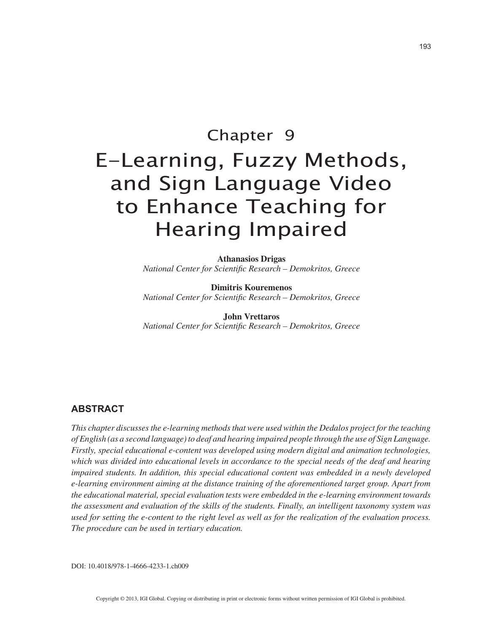# Chapter 9 E-Learning, Fuzzy Methods, and Sign Language Video to Enhance Teaching for Hearing Impaired

**Athanasios Drigas** *National Center for Scientific Research – Demokritos, Greece*

**Dimitris Kouremenos** *National Center for Scientific Research – Demokritos, Greece*

**John Vrettaros** *National Center for Scientific Research – Demokritos, Greece*

#### **ABSTRACT**

*This chapter discusses the e-learning methods that were used within the Dedalos project for the teaching of English (as a second language) to deaf and hearing impaired people through the use of Sign Language. Firstly, special educational e-content was developed using modern digital and animation technologies, which was divided into educational levels in accordance to the special needs of the deaf and hearing impaired students. In addition, this special educational content was embedded in a newly developed e-learning environment aiming at the distance training of the aforementioned target group. Apart from the educational material, special evaluation tests were embedded in the e-learning environment towards the assessment and evaluation of the skills of the students. Finally, an intelligent taxonomy system was used for setting the e-content to the right level as well as for the realization of the evaluation process. The procedure can be used in tertiary education.*

DOI: 10.4018/978-1-4666-4233-1.ch009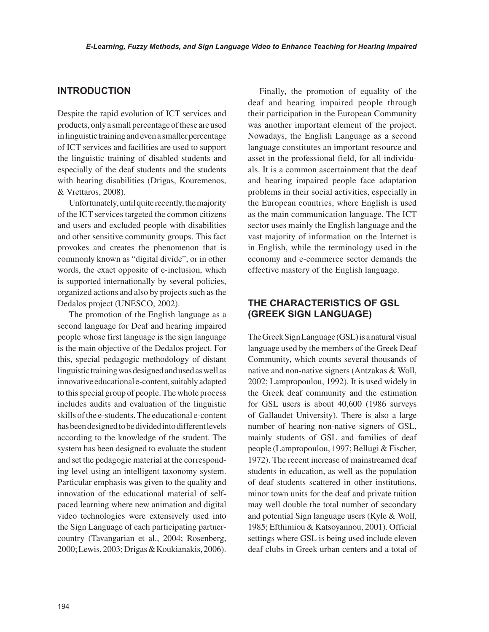#### **INTRODUCTION**

Despite the rapid evolution of ICT services and products, only a small percentage of these are used in linguistic training and even a smaller percentage of ICT services and facilities are used to support the linguistic training of disabled students and especially of the deaf students and the students with hearing disabilities (Drigas, Kouremenos, & Vrettaros, 2008).

Unfortunately, until quite recently, the majority of the ICT services targeted the common citizens and users and excluded people with disabilities and other sensitive community groups. This fact provokes and creates the phenomenon that is commonly known as "digital divide", or in other words, the exact opposite of e-inclusion, which is supported internationally by several policies, organized actions and also by projects such as the Dedalos project (UNESCO, 2002).

The promotion of the English language as a second language for Deaf and hearing impaired people whose first language is the sign language is the main objective of the Dedalos project. For this, special pedagogic methodology of distant linguistic training was designed and used as well as innovative educational e-content, suitably adapted to this special group of people. The whole process includes audits and evaluation of the linguistic skills of the e-students. The educational e-content has been designed to be divided into different levels according to the knowledge of the student. The system has been designed to evaluate the student and set the pedagogic material at the corresponding level using an intelligent taxonomy system. Particular emphasis was given to the quality and innovation of the educational material of selfpaced learning where new animation and digital video technologies were extensively used into the Sign Language of each participating partnercountry (Tavangarian et al., 2004; Rosenberg, 2000; Lewis, 2003; Drigas & Koukianakis, 2006).

Finally, the promotion of equality of the deaf and hearing impaired people through their participation in the European Community was another important element of the project. Nowadays, the English Language as a second language constitutes an important resource and asset in the professional field, for all individuals. It is a common ascertainment that the deaf and hearing impaired people face adaptation problems in their social activities, especially in the European countries, where English is used as the main communication language. The ICT sector uses mainly the English language and the vast majority of information on the Internet is in English, while the terminology used in the economy and e-commerce sector demands the effective mastery of the English language.

# **THE CHARACTERISTICS OF GSL (GREEK SIGN LANGUAGE)**

The Greek Sign Language (GSL) is a natural visual language used by the members of the Greek Deaf Community, which counts several thousands of native and non-native signers (Antzakas & Woll, 2002; Lampropoulou, 1992). It is used widely in the Greek deaf community and the estimation for GSL users is about 40,600 (1986 surveys of Gallaudet University). There is also a large number of hearing non-native signers of GSL, mainly students of GSL and families of deaf people (Lampropoulou, 1997; Bellugi & Fischer, 1972). The recent increase of mainstreamed deaf students in education, as well as the population of deaf students scattered in other institutions, minor town units for the deaf and private tuition may well double the total number of secondary and potential Sign language users (Kyle & Woll, 1985; Efthimiou & Katsoyannou, 2001). Official settings where GSL is being used include eleven deaf clubs in Greek urban centers and a total of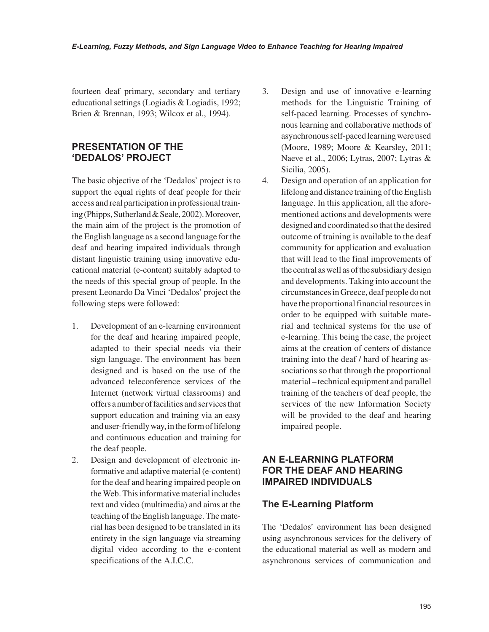fourteen deaf primary, secondary and tertiary educational settings (Logiadis & Logiadis, 1992; Brien & Brennan, 1993; Wilcox et al., 1994).

# **PRESENTATION OF THE 'DEDALOS' PROJECT**

The basic objective of the 'Dedalos' project is to support the equal rights of deaf people for their access and real participation in professional training (Phipps, Sutherland & Seale, 2002). Moreover, the main aim of the project is the promotion of the English language as a second language for the deaf and hearing impaired individuals through distant linguistic training using innovative educational material (e-content) suitably adapted to the needs of this special group of people. In the present Leonardo Da Vinci 'Dedalos' project the following steps were followed:

- 1. Development of an e-learning environment for the deaf and hearing impaired people, adapted to their special needs via their sign language. The environment has been designed and is based on the use of the advanced teleconference services of the Internet (network virtual classrooms) and offers a number of facilities and services that support education and training via an easy and user-friendly way, in the form of lifelong and continuous education and training for the deaf people.
- 2. Design and development of electronic informative and adaptive material (e-content) for the deaf and hearing impaired people on the Web. This informative material includes text and video (multimedia) and aims at the teaching of the English language. The material has been designed to be translated in its entirety in the sign language via streaming digital video according to the e-content specifications of the A.I.C.C.
- 3. Design and use of innovative e-learning methods for the Linguistic Training of self-paced learning. Processes of synchronous learning and collaborative methods of asynchronous self-paced learning were used (Moore, 1989; Moore & Kearsley, 2011; Naeve et al., 2006; Lytras, 2007; Lytras & Sicilia, 2005).
- 4. Design and operation of an application for lifelong and distance training of the English language. In this application, all the aforementioned actions and developments were designed and coordinated so that the desired outcome of training is available to the deaf community for application and evaluation that will lead to the final improvements of the central as well as of the subsidiary design and developments. Taking into account the circumstances in Greece, deaf people do not have the proportional financial resources in order to be equipped with suitable material and technical systems for the use of e-learning. This being the case, the project aims at the creation of centers of distance training into the deaf / hard of hearing associations so that through the proportional material – technical equipment and parallel training of the teachers of deaf people, the services of the new Information Society will be provided to the deaf and hearing impaired people.

# **AN E-LEARNING PLATFORM FOR THE DEAF AND HEARING IMPAIRED INDIVIDUALS**

# **The E-Learning Platform**

The 'Dedalos' environment has been designed using asynchronous services for the delivery of the educational material as well as modern and asynchronous services of communication and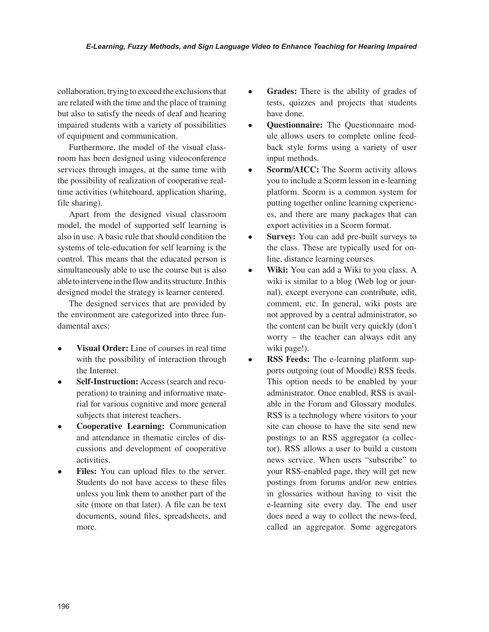collaboration, trying to exceed the exclusions that are related with the time and the place of training but also to satisfy the needs of deaf and hearing impaired students with a variety of possibilities of equipment and communication.

Furthermore, the model of the visual classroom has been designed using videoconference services through images, at the same time with the possibility of realization of cooperative realtime activities (whiteboard, application sharing, file sharing).

Apart from the designed visual classroom model, the model of supported self learning is also in use. A basic rule that should condition the systems of tele-education for self learning is the control. This means that the educated person is simultaneously able to use the course but is also able to intervene in the flow and its structure. In this designed model the strategy is learner centered.

The designed services that are provided by the environment are categorized into three fundamental axes:

- **Visual Order:** Line of courses in real time with the possibility of interaction through the Internet.
- **Self-Instruction:** Access (search and recuperation) to training and informative material for various cognitive and more general subjects that interest teachers.
- **Cooperative Learning:** Communication and attendance in thematic circles of discussions and development of cooperative activities.
- **Files:** You can upload files to the server. Students do not have access to these files unless you link them to another part of the site (more on that later). A file can be text documents, sound files, spreadsheets, and more.
- **Grades:** There is the ability of grades of tests, quizzes and projects that students have done.
- **Questionnaire:** The Questionnaire module allows users to complete online feedback style forms using a variety of user input methods.
- **Scorm/AICC:** The Scorm activity allows you to include a Scorm lesson in e-learning platform. Scorm is a common system for putting together online learning experiences, and there are many packages that can export activities in a Scorm format.
- **Survey:** You can add pre-built surveys to the class. These are typically used for online, distance learning courses.
- **Wiki:** You can add a Wiki to you class. A wiki is similar to a blog (Web log or journal), except everyone can contribute, edit, comment, etc. In general, wiki posts are not approved by a central administrator, so the content can be built very quickly (don't worry – the teacher can always edit any wiki page!).
- **RSS Feeds:** The e-learning platform supports outgoing (out of Moodle) RSS feeds. This option needs to be enabled by your administrator. Once enabled, RSS is available in the Forum and Glossary modules. RSS is a technology where visitors to your site can choose to have the site send new postings to an RSS aggregator (a collector). RSS allows a user to build a custom news service. When users "subscribe" to your RSS-enabled page, they will get new postings from forums and/or new entries in glossaries without having to visit the e-learning site every day. The end user does need a way to collect the news-feed, called an aggregator. Some aggregators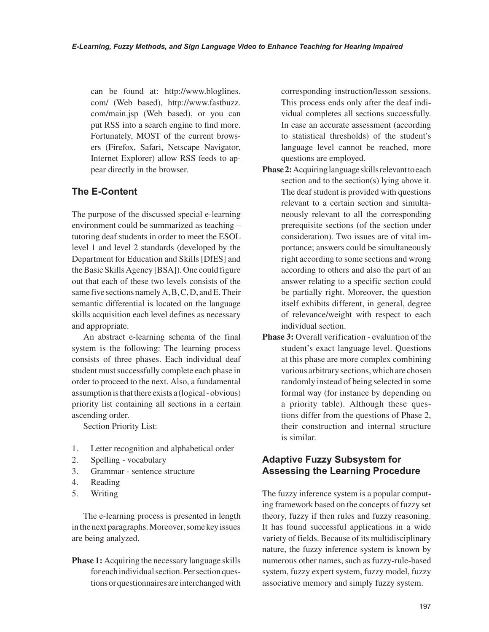can be found at: http://www.bloglines. com/ (Web based), http://www.fastbuzz. com/main.jsp (Web based), or you can put RSS into a search engine to find more. Fortunately, MOST of the current browsers (Firefox, Safari, Netscape Navigator, Internet Explorer) allow RSS feeds to appear directly in the browser.

# **The E-Content**

The purpose of the discussed special e-learning environment could be summarized as teaching – tutoring deaf students in order to meet the ESOL level 1 and level 2 standards (developed by the Department for Education and Skills [DfES] and the Basic Skills Agency [BSA]). One could figure out that each of these two levels consists of the same five sections namely A, B, C, D, and E. Their semantic differential is located on the language skills acquisition each level defines as necessary and appropriate.

An abstract e-learning schema of the final system is the following: The learning process consists of three phases. Each individual deaf student must successfully complete each phase in order to proceed to the next. Also, a fundamental assumption is that there exists a (logical - obvious) priority list containing all sections in a certain ascending order.

Section Priority List:

- 1. Letter recognition and alphabetical order
- 2. Spelling vocabulary
- 3. Grammar sentence structure
- 4. Reading
- 5. Writing

The e-learning process is presented in length in the next paragraphs. Moreover, some key issues are being analyzed.

**Phase 1:** Acquiring the necessary language skills for each individual section. Per section questions or questionnaires are interchanged with corresponding instruction/lesson sessions. This process ends only after the deaf individual completes all sections successfully. In case an accurate assessment (according to statistical thresholds) of the student's language level cannot be reached, more questions are employed.

- **Phase 2:** Acquiring language skills relevant to each section and to the section(s) lying above it. The deaf student is provided with questions relevant to a certain section and simultaneously relevant to all the corresponding prerequisite sections (of the section under consideration). Two issues are of vital importance; answers could be simultaneously right according to some sections and wrong according to others and also the part of an answer relating to a specific section could be partially right. Moreover, the question itself exhibits different, in general, degree of relevance/weight with respect to each individual section.
- **Phase 3:** Overall verification evaluation of the student's exact language level. Questions at this phase are more complex combining various arbitrary sections, which are chosen randomly instead of being selected in some formal way (for instance by depending on a priority table). Although these questions differ from the questions of Phase 2, their construction and internal structure is similar.

# **Adaptive Fuzzy Subsystem for Assessing the Learning Procedure**

The fuzzy inference system is a popular computing framework based on the concepts of fuzzy set theory, fuzzy if then rules and fuzzy reasoning. It has found successful applications in a wide variety of fields. Because of its multidisciplinary nature, the fuzzy inference system is known by numerous other names, such as fuzzy-rule-based system, fuzzy expert system, fuzzy model, fuzzy associative memory and simply fuzzy system.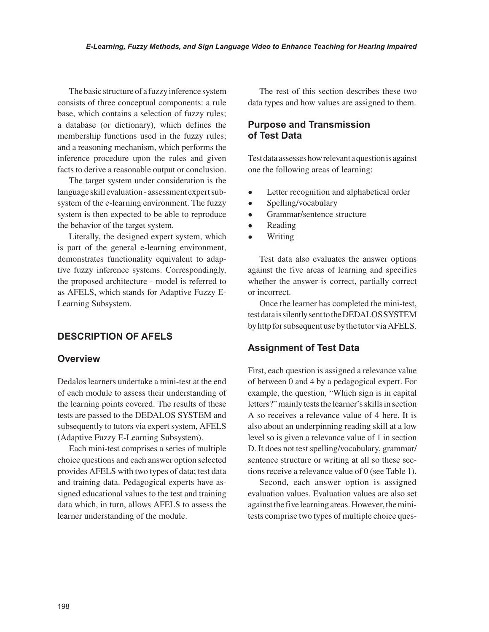The basic structure of a fuzzy inference system consists of three conceptual components: a rule base, which contains a selection of fuzzy rules; a database (or dictionary), which defines the membership functions used in the fuzzy rules; and a reasoning mechanism, which performs the inference procedure upon the rules and given facts to derive a reasonable output or conclusion.

The target system under consideration is the language skill evaluation - assessment expert subsystem of the e-learning environment. The fuzzy system is then expected to be able to reproduce the behavior of the target system.

Literally, the designed expert system, which is part of the general e-learning environment, demonstrates functionality equivalent to adaptive fuzzy inference systems. Correspondingly, the proposed architecture - model is referred to as AFELS, which stands for Adaptive Fuzzy E-Learning Subsystem.

#### **DESCRIPTION OF AFELS**

#### **Overview**

Dedalos learners undertake a mini-test at the end of each module to assess their understanding of the learning points covered. The results of these tests are passed to the DEDALOS SYSTEM and subsequently to tutors via expert system, AFELS (Adaptive Fuzzy E-Learning Subsystem).

Each mini-test comprises a series of multiple choice questions and each answer option selected provides AFELS with two types of data; test data and training data. Pedagogical experts have assigned educational values to the test and training data which, in turn, allows AFELS to assess the learner understanding of the module.

The rest of this section describes these two data types and how values are assigned to them.

#### **Purpose and Transmission of Test Data**

Test data assesses how relevant a question is against one the following areas of learning:

- Letter recognition and alphabetical order
- Spelling/vocabulary
- Grammar/sentence structure
- Reading
- Writing

Test data also evaluates the answer options against the five areas of learning and specifies whether the answer is correct, partially correct or incorrect.

Once the learner has completed the mini-test, test data is silently sent to the DEDALOS SYSTEM by http for subsequent use by the tutor via AFELS.

#### **Assignment of Test Data**

First, each question is assigned a relevance value of between 0 and 4 by a pedagogical expert. For example, the question, "Which sign is in capital letters?" mainly tests the learner's skills in section A so receives a relevance value of 4 here. It is also about an underpinning reading skill at a low level so is given a relevance value of 1 in section D. It does not test spelling/vocabulary, grammar/ sentence structure or writing at all so these sections receive a relevance value of 0 (see Table 1).

Second, each answer option is assigned evaluation values. Evaluation values are also set against the five learning areas. However, the minitests comprise two types of multiple choice ques-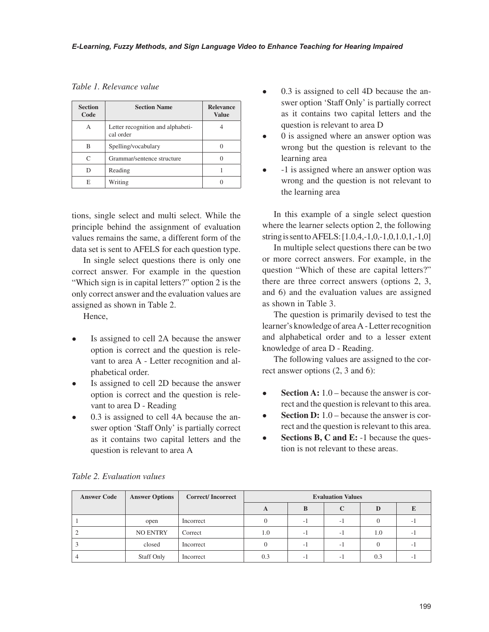*Table 1. Relevance value* 

| <b>Section</b><br>Code | <b>Section Name</b>                            | <b>Relevance</b><br><b>Value</b> |
|------------------------|------------------------------------------------|----------------------------------|
| А                      | Letter recognition and alphabeti-<br>cal order |                                  |
| в                      | Spelling/vocabulary                            |                                  |
| C                      | Grammar/sentence structure                     |                                  |
| D                      | Reading                                        |                                  |
| E                      | Writing                                        |                                  |

tions, single select and multi select. While the principle behind the assignment of evaluation values remains the same, a different form of the data set is sent to AFELS for each question type.

In single select questions there is only one correct answer. For example in the question "Which sign is in capital letters?" option 2 is the only correct answer and the evaluation values are assigned as shown in Table 2.

Hence,

- Is assigned to cell 2A because the answer option is correct and the question is relevant to area A - Letter recognition and alphabetical order.
- Is assigned to cell 2D because the answer option is correct and the question is relevant to area D - Reading
- 0.3 is assigned to cell 4A because the answer option 'Staff Only' is partially correct as it contains two capital letters and the question is relevant to area A
- 0.3 is assigned to cell 4D because the answer option 'Staff Only' is partially correct as it contains two capital letters and the question is relevant to area D
- 0 is assigned where an answer option was wrong but the question is relevant to the learning area
- $-1$  is assigned where an answer option was wrong and the question is not relevant to the learning area

In this example of a single select question where the learner selects option 2, the following string is sent to AFELS: [1.0,4,-1,0,-1,0,1.0,1,-1,0]

In multiple select questions there can be two or more correct answers. For example, in the question "Which of these are capital letters?" there are three correct answers (options 2, 3, and 6) and the evaluation values are assigned as shown in Table 3.

The question is primarily devised to test the learner's knowledge of area A - Letter recognition and alphabetical order and to a lesser extent knowledge of area D - Reading.

The following values are assigned to the correct answer options (2, 3 and 6):

- **Section A:** 1.0 because the answer is correct and the question is relevant to this area.
- **Section D:** 1.0 because the answer is correct and the question is relevant to this area.
- **Sections B, C and E:** -1 because the question is not relevant to these areas.

| <b>Answer Code</b> | <b>Answer Options</b> | <b>Correct/Incorrect</b> | <b>Evaluation Values</b> |     |     |     |  |
|--------------------|-----------------------|--------------------------|--------------------------|-----|-----|-----|--|
|                    |                       |                          | A                        |     |     |     |  |
|                    | open                  | Incorrect                |                          | ÷.  | - 1 |     |  |
|                    | <b>NO ENTRY</b>       | Correct                  | 1.0                      | - 1 | - 1 | 1.0 |  |
|                    | closed                | Incorrect                |                          | - 1 | - 1 |     |  |
|                    | <b>Staff Only</b>     | Incorrect                | 0.3                      | -   | - 1 | 0.3 |  |

*Table 2. Evaluation values*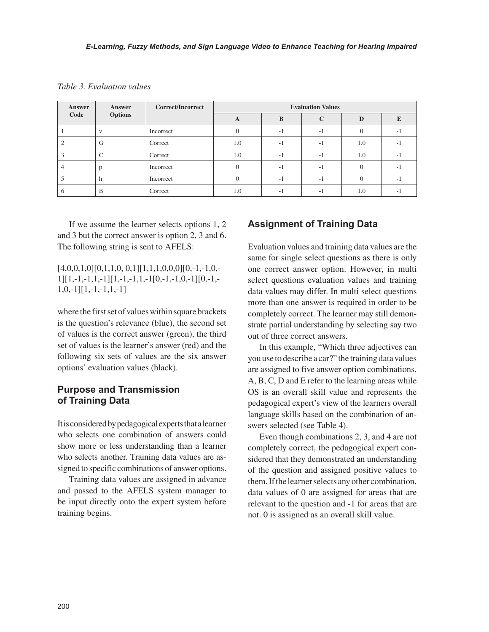*Table 3. Evaluation values* 

| Answer | Answer         | <b>Correct/Incorrect</b> | <b>Evaluation Values</b> |      |      |     |  |
|--------|----------------|--------------------------|--------------------------|------|------|-----|--|
| Code   | <b>Options</b> |                          | A                        | B    |      |     |  |
|        | $\mathbf{V}$   | Incorrect                |                          | - 1  | - 1  |     |  |
|        | G              | Correct                  | 1.0                      | $-1$ | $-1$ | 1.0 |  |
|        | $\sqrt{ }$     | Correct                  | 1.0                      | - 1  | $-1$ | 1.0 |  |
|        |                | Incorrect                |                          | - 1  | - 1  |     |  |
|        | h              | Incorrect                |                          | - 1  | - 1  |     |  |
|        | B              | Correct                  | $1.0^{\circ}$            | - 1  |      | 1.0 |  |

If we assume the learner selects options 1, 2 and 3 but the correct answer is option 2, 3 and 6. The following string is sent to AFELS:

 $[4,0,0,1,0]$  $[0,1,1,0,0,1]$  $[1,1,1,0,0,0]$  $[0,-1,-1,0, 1$ ][1,-1,-1,1,-1][1,-1,-1,1,-1[0,-1,-1,0,-1][0,-1,-1,0,-1][1,-1,-1,1,-1]

where the first set of values within square brackets is the question's relevance (blue), the second set of values is the correct answer (green), the third set of values is the learner's answer (red) and the following six sets of values are the six answer options' evaluation values (black).

#### **Purpose and Transmission of Training Data**

It is considered by pedagogical experts that a learner who selects one combination of answers could show more or less understanding than a learner who selects another. Training data values are assigned to specific combinations of answer options.

Training data values are assigned in advance and passed to the AFELS system manager to be input directly onto the expert system before training begins.

#### **Assignment of Training Data**

Evaluation values and training data values are the same for single select questions as there is only one correct answer option. However, in multi select questions evaluation values and training data values may differ. In multi select questions more than one answer is required in order to be completely correct. The learner may still demonstrate partial understanding by selecting say two out of three correct answers.

In this example, "Which three adjectives can you use to describe a car?" the training data values are assigned to five answer option combinations. A, B, C, D and E refer to the learning areas while OS is an overall skill value and represents the pedagogical expert's view of the learners overall language skills based on the combination of answers selected (see Table 4).

Even though combinations 2, 3, and 4 are not completely correct, the pedagogical expert considered that they demonstrated an understanding of the question and assigned positive values to them. If the learner selects any other combination, data values of 0 are assigned for areas that are relevant to the question and -1 for areas that are not. 0 is assigned as an overall skill value.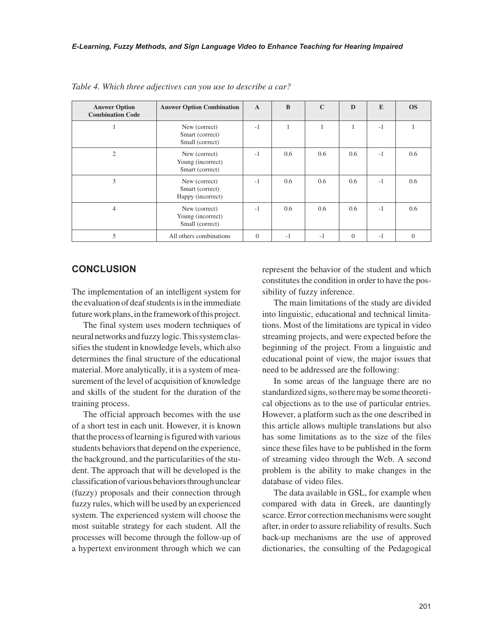| <b>Answer Option</b><br><b>Combination Code</b> | <b>Answer Option Combination</b>                      | $\mathbf{A}$ | B    | $\mathbf C$ | $\bf{D}$ | E    | <b>OS</b> |
|-------------------------------------------------|-------------------------------------------------------|--------------|------|-------------|----------|------|-----------|
|                                                 | New (correct)<br>Smart (correct)<br>Small (correct)   | $-1$         |      |             |          | $-1$ |           |
| $\overline{2}$                                  | New (correct)<br>Young (incorrect)<br>Smart (correct) | $-1$         | 0.6  | 0.6         | 0.6      | $-1$ | 0.6       |
| 3                                               | New (correct)<br>Smart (correct)<br>Happy (incorrect) | $-1$         | 0.6  | 0.6         | 0.6      | $-1$ | 0.6       |
| 4                                               | New (correct)<br>Young (incorrect)<br>Small (correct) | $-1$         | 0.6  | 0.6         | 0.6      | $-1$ | 0.6       |
| 5                                               | All others combinations                               | $\Omega$     | $-1$ | $-1$        | $\Omega$ | $-1$ | $\Omega$  |

*Table 4. Which three adjectives can you use to describe a car?* 

#### **CONCLUSION**

The implementation of an intelligent system for the evaluation of deaf students is in the immediate future work plans, in the framework of this project.

The final system uses modern techniques of neural networks and fuzzy logic. This system classifies the student in knowledge levels, which also determines the final structure of the educational material. More analytically, it is a system of measurement of the level of acquisition of knowledge and skills of the student for the duration of the training process.

The official approach becomes with the use of a short test in each unit. However, it is known that the process of learning is figured with various students behaviors that depend on the experience, the background, and the particularities of the student. The approach that will be developed is the classification of various behaviors through unclear (fuzzy) proposals and their connection through fuzzy rules, which will be used by an experienced system. The experienced system will choose the most suitable strategy for each student. All the processes will become through the follow-up of a hypertext environment through which we can

represent the behavior of the student and which constitutes the condition in order to have the possibility of fuzzy inference.

The main limitations of the study are divided into linguistic, educational and technical limitations. Most of the limitations are typical in video streaming projects, and were expected before the beginning of the project. From a linguistic and educational point of view, the major issues that need to be addressed are the following:

In some areas of the language there are no standardized signs, so there may be some theoretical objections as to the use of particular entries. However, a platform such as the one described in this article allows multiple translations but also has some limitations as to the size of the files since these files have to be published in the form of streaming video through the Web. A second problem is the ability to make changes in the database of video files.

The data available in GSL, for example when compared with data in Greek, are dauntingly scarce. Error correction mechanisms were sought after, in order to assure reliability of results. Such back-up mechanisms are the use of approved dictionaries, the consulting of the Pedagogical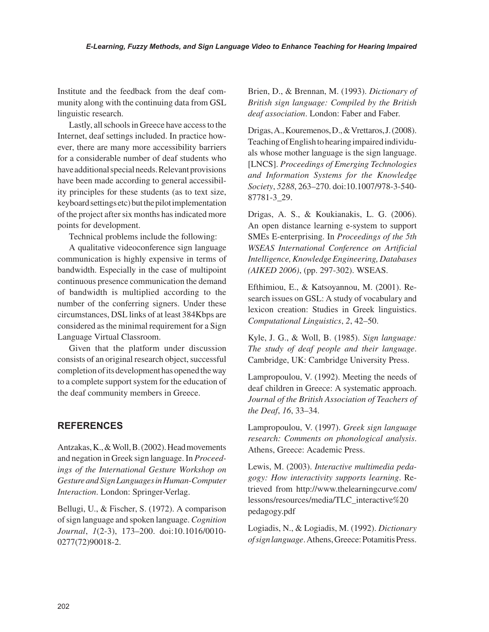Institute and the feedback from the deaf community along with the continuing data from GSL linguistic research.

Lastly, all schools in Greece have access to the Internet, deaf settings included. In practice however, there are many more accessibility barriers for a considerable number of deaf students who have additional special needs. Relevant provisions have been made according to general accessibility principles for these students (as to text size, keyboard settings etc) but the pilot implementation of the project after six months has indicated more points for development.

Technical problems include the following:

A qualitative videoconference sign language communication is highly expensive in terms of bandwidth. Especially in the case of multipoint continuous presence communication the demand of bandwidth is multiplied according to the number of the conferring signers. Under these circumstances, DSL links of at least 384Kbps are considered as the minimal requirement for a Sign Language Virtual Classroom.

Given that the platform under discussion consists of an original research object, successful completion of its development has opened the way to a complete support system for the education of the deaf community members in Greece.

# **REFERENCES**

Antzakas, K., & Woll, B. (2002). Head movements and negation in Greek sign language. In *Proceedings of the International Gesture Workshop on Gesture and Sign Languages in Human-Computer Interaction*. London: Springer-Verlag.

Bellugi, U., & Fischer, S. (1972). A comparison of sign language and spoken language. *Cognition Journal*, *1*(2-3), 173–200. doi:10.1016/0010- 0277(72)90018-2.

Brien, D., & Brennan, M. (1993). *Dictionary of British sign language: Compiled by the British deaf association*. London: Faber and Faber.

Drigas, A., Kouremenos, D., & Vrettaros, J. (2008). Teaching of English to hearing impaired individuals whose mother language is the sign language. [LNCS]. *Proceedings of Emerging Technologies and Information Systems for the Knowledge Society*, *5288*, 263–270. doi:10.1007/978-3-540- 87781-3\_29.

Drigas, A. S., & Koukianakis, L. G. (2006). An open distance learning e-system to support SMEs E-enterprising. In *Proceedings of the 5th WSEAS International Conference on Artificial Intelligence, Knowledge Engineering, Databases (AIKED 2006)*, (pp. 297-302). WSEAS.

Efthimiou, E., & Katsoyannou, M. (2001). Research issues on GSL: A study of vocabulary and lexicon creation: Studies in Greek linguistics. *Computational Linguistics*, *2*, 42–50.

Kyle, J. G., & Woll, B. (1985). *Sign language: The study of deaf people and their language*. Cambridge, UK: Cambridge University Press.

Lampropoulou, V. (1992). Meeting the needs of deaf children in Greece: A systematic approach. *Journal of the British Association of Teachers of the Deaf*, *16*, 33–34.

Lampropoulou, V. (1997). *Greek sign language research: Comments on phonological analysis*. Athens, Greece: Academic Press.

Lewis, M. (2003). *Interactive multimedia pedagogy: How interactivity supports learning*. Retrieved from http://www.thelearningcurve.com/ lessons/resources/media/TLC\_interactive%20 pedagogy.pdf

Logiadis, N., & Logiadis, M. (1992). *Dictionary of sign language*. Athens, Greece: Potamitis Press.